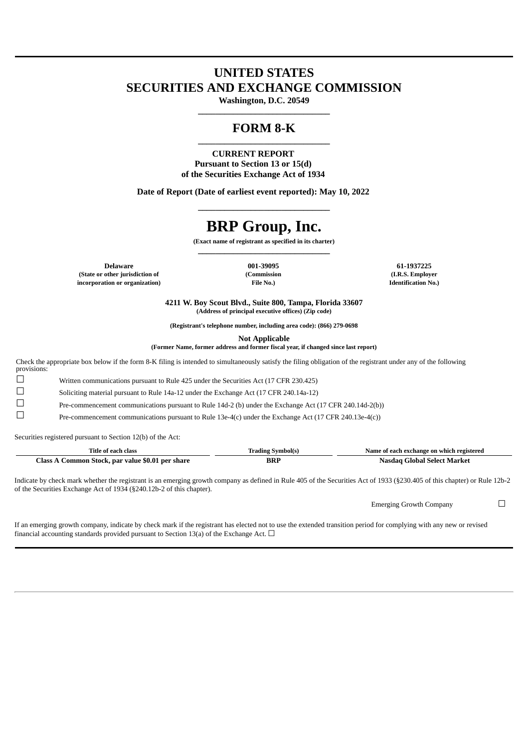## **UNITED STATES SECURITIES AND EXCHANGE COMMISSION**

**Washington, D.C. 20549 \_\_\_\_\_\_\_\_\_\_\_\_\_\_\_\_\_\_\_\_\_\_\_\_\_\_\_\_\_\_**

### **FORM 8-K \_\_\_\_\_\_\_\_\_\_\_\_\_\_\_\_\_\_\_\_\_\_\_\_\_\_\_\_\_\_**

**CURRENT REPORT Pursuant to Section 13 or 15(d) of the Securities Exchange Act of 1934**

**Date of Report (Date of earliest event reported): May 10, 2022**

# **BRP Group, Inc.**

**\_\_\_\_\_\_\_\_\_\_\_\_\_\_\_\_\_\_\_\_\_\_\_\_\_\_\_\_\_\_**

**(Exact name of registrant as specified in its charter) \_\_\_\_\_\_\_\_\_\_\_\_\_\_\_\_\_\_\_\_\_\_\_\_\_\_\_\_\_\_**

**Delaware 001-39095 61-1937225 61-1937225 61-1937225 61-1937225 61-1937225 (State or other jurisdiction of (Commission (I.R.S. Employer incorporation or organization) File No.) Identification No.)**

**4211 W. Boy Scout Blvd., Suite 800, Tampa, Florida 33607 (Address of principal executive offices) (Zip code)**

**(Registrant's telephone number, including area code): (866) 279-0698**

**Not Applicable**

**(Former Name, former address and former fiscal year, if changed since last report)**

Check the appropriate box below if the form 8-K filing is intended to simultaneously satisfy the filing obligation of the registrant under any of the following provisions:

☐ Written communications pursuant to Rule 425 under the Securities Act (17 CFR 230.425)

☐ Soliciting material pursuant to Rule 14a-12 under the Exchange Act (17 CFR 240.14a-12)

☐ Pre-commencement communications pursuant to Rule 14d-2 (b) under the Exchange Act (17 CFR 240.14d-2(b))

 $\Box$  Pre-commencement communications pursuant to Rule 13e-4(c) under the Exchange Act (17 CFR 240.13e-4(c))

Securities registered pursuant to Section 12(b) of the Act:

| Title of each class                                 | Trading Symbol(s) | Name of each exchange on which registered |
|-----------------------------------------------------|-------------------|-------------------------------------------|
| Common Stock, par value \$0.01 per share<br>Llass A | BRP               | - Nasdag Global Select Market             |

Indicate by check mark whether the registrant is an emerging growth company as defined in Rule 405 of the Securities Act of 1933 (§230.405 of this chapter) or Rule 12b-2 of the Securities Exchange Act of 1934 (§240.12b-2 of this chapter).

Emerging Growth Company □

If an emerging growth company, indicate by check mark if the registrant has elected not to use the extended transition period for complying with any new or revised financial accounting standards provided pursuant to Section 13(a) of the Exchange Act.  $\Box$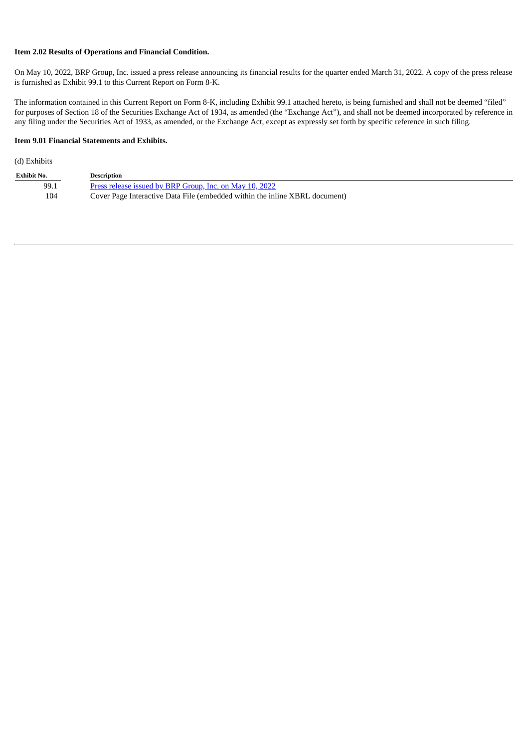#### **Item 2.02 Results of Operations and Financial Condition.**

On May 10, 2022, BRP Group, Inc. issued a press release announcing its financial results for the quarter ended March 31, 2022. A copy of the press release is furnished as Exhibit 99.1 to this Current Report on Form 8-K.

The information contained in this Current Report on Form 8-K, including Exhibit 99.1 attached hereto, is being furnished and shall not be deemed "filed" for purposes of Section 18 of the Securities Exchange Act of 1934, as amended (the "Exchange Act"), and shall not be deemed incorporated by reference in any filing under the Securities Act of 1933, as amended, or the Exchange Act, except as expressly set forth by specific reference in such filing.

### **Item 9.01 Financial Statements and Exhibits.**

### (d) Exhibits

| <b>Exhibit No.</b> | <b>Description</b>                                                          |
|--------------------|-----------------------------------------------------------------------------|
| 99.1               | Press release issued by BRP Group, Inc. on May 10, 2022                     |
| 104                | Cover Page Interactive Data File (embedded within the inline XBRL document) |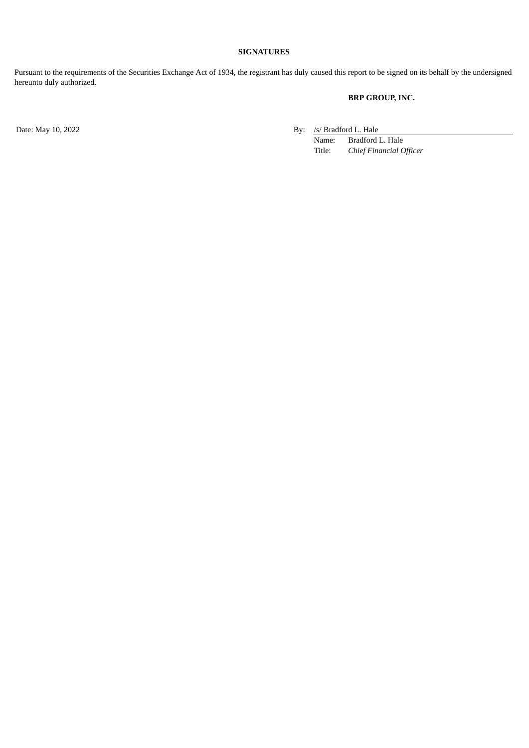#### **SIGNATURES**

Pursuant to the requirements of the Securities Exchange Act of 1934, the registrant has duly caused this report to be signed on its behalf by the undersigned hereunto duly authorized.

### **BRP GROUP, INC.**

Date: May 10, 2022 By: /s/ Bradford L. Hale

Name: Bradford L. Hale<br>Title: Chief Financial C **Chief** Financial Officer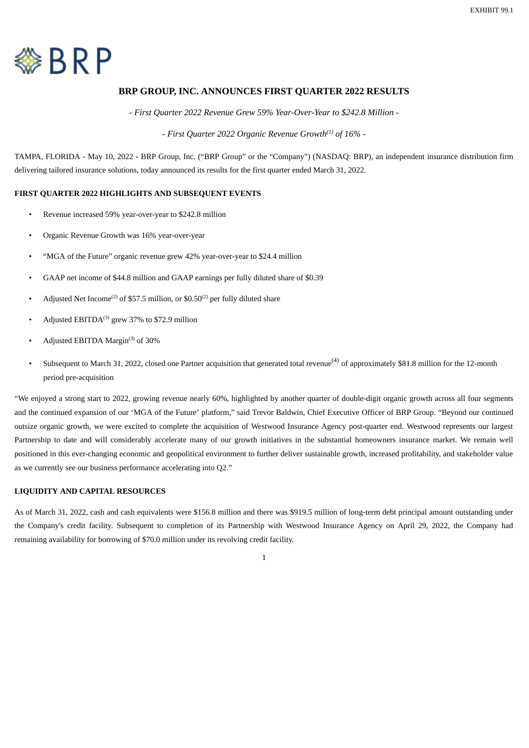<span id="page-3-0"></span>

### **BRP GROUP, INC. ANNOUNCES FIRST QUARTER 2022 RESULTS**

*- First Quarter 2022 Revenue Grew 59% Year-Over-Year to \$242.8 Million -*

*- First Quarter 2022 Organic Revenue Growth<sup>(1)</sup> of 16% -*

TAMPA, FLORIDA - May 10, 2022 - BRP Group, Inc. ("BRP Group" or the "Company") (NASDAQ: BRP), an independent insurance distribution firm delivering tailored insurance solutions, today announced its results for the first quarter ended March 31, 2022.

### **FIRST QUARTER 2022 HIGHLIGHTS AND SUBSEQUENT EVENTS**

- Revenue increased 59% year-over-year to \$242.8 million
- Organic Revenue Growth was 16% year-over-year
- "MGA of the Future" organic revenue grew 42% year-over-year to \$24.4 million
- GAAP net income of \$44.8 million and GAAP earnings per fully diluted share of \$0.39
- Adjusted Net Income<sup>(2)</sup> of \$57.5 million, or \$0.50<sup>(2)</sup> per fully diluted share
- Adjusted EBITDA $^{(3)}$  grew 37% to \$72.9 million
- Adjusted EBITDA Margin $^{(3)}$  of 30%
- Subsequent to March 31, 2022, closed one Partner acquisition that generated total revenue<sup>(4)</sup> of approximately \$81.8 million for the 12-month period pre-acquisition

"We enjoyed a strong start to 2022, growing revenue nearly 60%, highlighted by another quarter of double-digit organic growth across all four segments and the continued expansion of our 'MGA of the Future' platform," said Trevor Baldwin, Chief Executive Officer of BRP Group. "Beyond our continued outsize organic growth, we were excited to complete the acquisition of Westwood Insurance Agency post-quarter end. Westwood represents our largest Partnership to date and will considerably accelerate many of our growth initiatives in the substantial homeowners insurance market. We remain well positioned in this ever-changing economic and geopolitical environment to further deliver sustainable growth, increased profitability, and stakeholder value as we currently see our business performance accelerating into Q2."

### **LIQUIDITY AND CAPITAL RESOURCES**

As of March 31, 2022, cash and cash equivalents were \$156.8 million and there was \$919.5 million of long-term debt principal amount outstanding under the Company's credit facility. Subsequent to completion of its Partnership with Westwood Insurance Agency on April 29, 2022, the Company had remaining availability for borrowing of \$70.0 million under its revolving credit facility.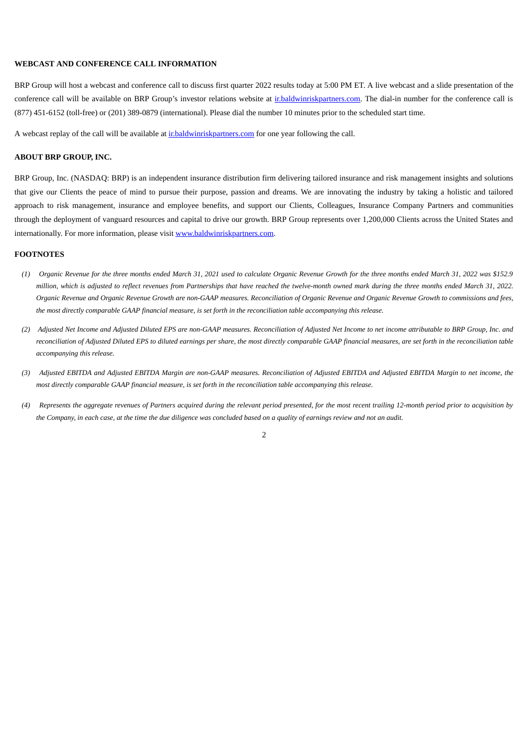### **WEBCAST AND CONFERENCE CALL INFORMATION**

BRP Group will host a webcast and conference call to discuss first quarter 2022 results today at 5:00 PM ET. A live webcast and a slide presentation of the conference call will be available on BRP Group's investor relations website at ir.baldwinriskpartners.com. The dial-in number for the conference call is (877) 451-6152 (toll-free) or (201) 389-0879 (international). Please dial the number 10 minutes prior to the scheduled start time.

A webcast replay of the call will be available at ir.baldwinriskpartners.com for one year following the call.

#### **ABOUT BRP GROUP, INC.**

BRP Group, Inc. (NASDAQ: BRP) is an independent insurance distribution firm delivering tailored insurance and risk management insights and solutions that give our Clients the peace of mind to pursue their purpose, passion and dreams. We are innovating the industry by taking a holistic and tailored approach to risk management, insurance and employee benefits, and support our Clients, Colleagues, Insurance Company Partners and communities through the deployment of vanguard resources and capital to drive our growth. BRP Group represents over 1,200,000 Clients across the United States and internationally. For more information, please visit www.baldwinriskpartners.com.

#### **FOOTNOTES**

- *(1) Organic Revenue for the three months ended March 31, 2021 used to calculate Organic Revenue Growth for the three months ended March 31, 2022 was \$152.9 million, which is adjusted to reflect revenues from Partnerships that have reached the twelve-month owned mark during the three months ended March 31, 2022. Organic Revenue and Organic Revenue Growth are non-GAAP measures. Reconciliation of Organic Revenue and Organic Revenue Growth to commissions and fees, the most directly comparable GAAP financial measure, is set forth in the reconciliation table accompanying this release.*
- *(2) Adjusted Net Income and Adjusted Diluted EPS are non-GAAP measures. Reconciliation of Adjusted Net Income to net income attributable to BRP Group, Inc. and reconciliation of Adjusted Diluted EPS to diluted earnings per share, the most directly comparable GAAP financial measures, are set forth in the reconciliation table accompanying this release.*
- *(3) Adjusted EBITDA and Adjusted EBITDA Margin are non-GAAP measures. Reconciliation of Adjusted EBITDA and Adjusted EBITDA Margin to net income, the most directly comparable GAAP financial measure, is set forth in the reconciliation table accompanying this release.*
- *(4) Represents the aggregate revenues of Partners acquired during the relevant period presented, for the most recent trailing 12-month period prior to acquisition by the Company, in each case, at the time the due diligence was concluded based on a quality of earnings review and not an audit.*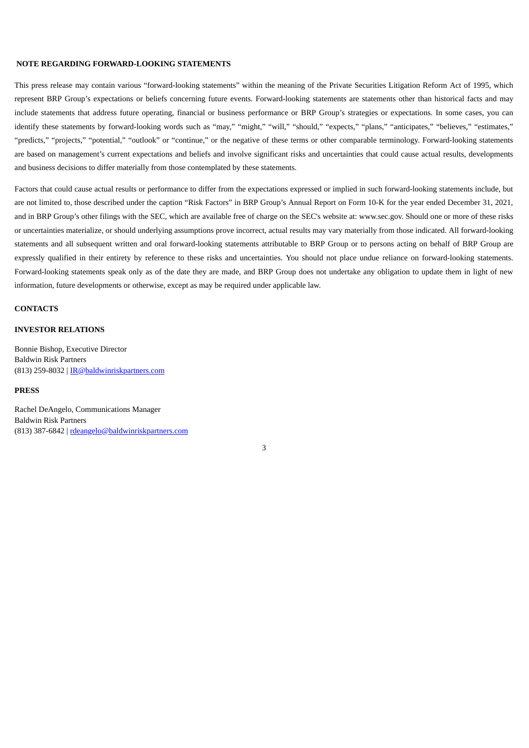#### **NOTE REGARDING FORWARD-LOOKING STATEMENTS**

This press release may contain various "forward-looking statements" within the meaning of the Private Securities Litigation Reform Act of 1995, which represent BRP Group's expectations or beliefs concerning future events. Forward-looking statements are statements other than historical facts and may include statements that address future operating, financial or business performance or BRP Group's strategies or expectations. In some cases, you can identify these statements by forward-looking words such as "may," "might," "will," "should," "expects," "plans," "anticipates," "believes," "estimates," "predicts," "projects," "potential," "outlook" or "continue," or the negative of these terms or other comparable terminology. Forward-looking statements are based on management's current expectations and beliefs and involve significant risks and uncertainties that could cause actual results, developments and business decisions to differ materially from those contemplated by these statements.

Factors that could cause actual results or performance to differ from the expectations expressed or implied in such forward-looking statements include, but are not limited to, those described under the caption "Risk Factors" in BRP Group's Annual Report on Form 10-K for the year ended December 31, 2021, and in BRP Group's other filings with the SEC, which are available free of charge on the SEC's website at: www.sec.gov. Should one or more of these risks or uncertainties materialize, or should underlying assumptions prove incorrect, actual results may vary materially from those indicated. All forward-looking statements and all subsequent written and oral forward-looking statements attributable to BRP Group or to persons acting on behalf of BRP Group are expressly qualified in their entirety by reference to these risks and uncertainties. You should not place undue reliance on forward-looking statements. Forward-looking statements speak only as of the date they are made, and BRP Group does not undertake any obligation to update them in light of new information, future developments or otherwise, except as may be required under applicable law.

#### **CONTACTS**

#### **INVESTOR RELATIONS**

Bonnie Bishop, Executive Director Baldwin Risk Partners (813) 259-8032 | IR@baldwinriskpartners.com

#### **PRESS**

Rachel DeAngelo, Communications Manager Baldwin Risk Partners (813) 387-6842 | rdeangelo@baldwinriskpartners.com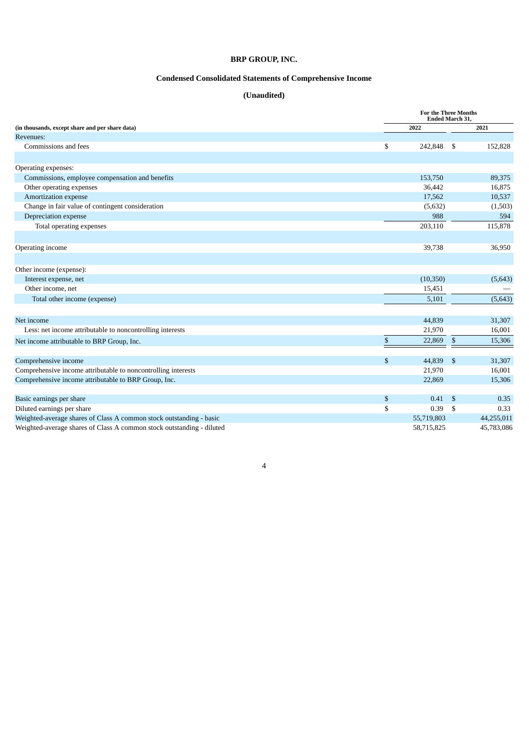### **BRP GROUP, INC.**

### **Condensed Consolidated Statements of Comprehensive Income**

### **(Unaudited)**

|                                                                       |               | <b>For the Three Months</b><br>Ended March 31, |            |  |  |
|-----------------------------------------------------------------------|---------------|------------------------------------------------|------------|--|--|
| (in thousands, except share and per share data)                       | 2022          |                                                | 2021       |  |  |
| Revenues:                                                             |               |                                                |            |  |  |
| Commissions and fees                                                  | \$<br>242,848 | - \$                                           | 152,828    |  |  |
| Operating expenses:                                                   |               |                                                |            |  |  |
| Commissions, employee compensation and benefits                       | 153,750       |                                                | 89,375     |  |  |
| Other operating expenses                                              | 36,442        |                                                | 16,875     |  |  |
| Amortization expense                                                  | 17,562        |                                                | 10,537     |  |  |
| Change in fair value of contingent consideration                      | (5,632)       |                                                | (1,503)    |  |  |
| Depreciation expense                                                  |               | 988                                            | 594        |  |  |
| Total operating expenses                                              | 203,110       |                                                | 115,878    |  |  |
| Operating income                                                      | 39,738        |                                                | 36,950     |  |  |
| Other income (expense):                                               |               |                                                |            |  |  |
| Interest expense, net                                                 | (10, 350)     |                                                | (5,643)    |  |  |
| Other income, net                                                     | 15,451        |                                                |            |  |  |
| Total other income (expense)                                          | 5,101         |                                                | (5,643)    |  |  |
| Net income                                                            | 44,839        |                                                | 31,307     |  |  |
| Less: net income attributable to noncontrolling interests             | 21,970        |                                                | 16,001     |  |  |
| Net income attributable to BRP Group, Inc.                            | \$<br>22,869  | \$                                             | 15,306     |  |  |
| Comprehensive income                                                  | \$<br>44,839  | -\$                                            | 31,307     |  |  |
| Comprehensive income attributable to noncontrolling interests         | 21,970        |                                                | 16,001     |  |  |
| Comprehensive income attributable to BRP Group, Inc.                  | 22,869        |                                                | 15,306     |  |  |
| Basic earnings per share                                              | \$            | 0.41<br>- \$                                   | 0.35       |  |  |
| Diluted earnings per share                                            | \$            | 0.39<br>-\$                                    | 0.33       |  |  |
| Weighted-average shares of Class A common stock outstanding - basic   | 55,719,803    |                                                | 44,255,011 |  |  |
| Weighted-average shares of Class A common stock outstanding - diluted | 58,715,825    |                                                | 45,783,086 |  |  |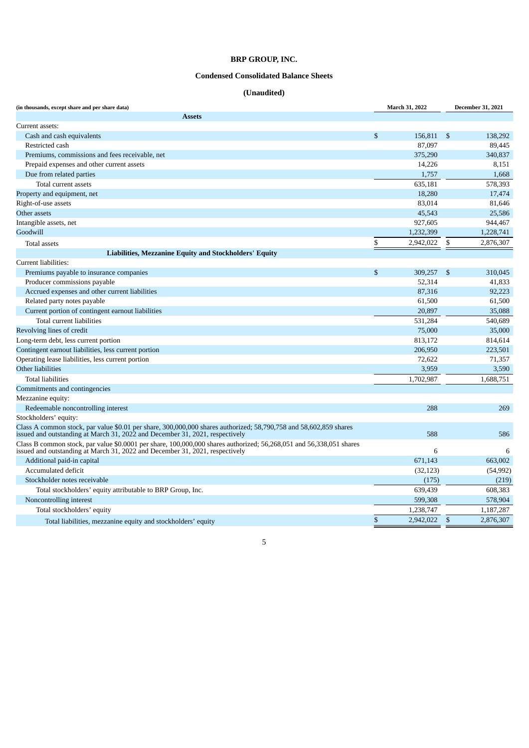### **BRP GROUP, INC.**

### **Condensed Consolidated Balance Sheets**

### **(Unaudited)**

| (in thousands, except share and per share data)                                                                                                                                                     | March 31, 2022  |              | <b>December 31, 2021</b> |
|-----------------------------------------------------------------------------------------------------------------------------------------------------------------------------------------------------|-----------------|--------------|--------------------------|
| <b>Assets</b>                                                                                                                                                                                       |                 |              |                          |
| Current assets:                                                                                                                                                                                     |                 |              |                          |
| Cash and cash equivalents                                                                                                                                                                           | \$<br>156,811   | - \$         | 138,292                  |
| Restricted cash                                                                                                                                                                                     | 87,097          |              | 89,445                   |
| Premiums, commissions and fees receivable, net                                                                                                                                                      | 375,290         |              | 340,837                  |
| Prepaid expenses and other current assets                                                                                                                                                           | 14,226          |              | 8,151                    |
| Due from related parties                                                                                                                                                                            | 1,757           |              | 1,668                    |
| Total current assets                                                                                                                                                                                | 635,181         |              | 578,393                  |
| Property and equipment, net                                                                                                                                                                         | 18,280          |              | 17,474                   |
| Right-of-use assets                                                                                                                                                                                 | 83,014          |              | 81,646                   |
| Other assets                                                                                                                                                                                        | 45,543          |              | 25,586                   |
| Intangible assets, net                                                                                                                                                                              | 927,605         |              | 944,467                  |
| Goodwill                                                                                                                                                                                            | 1,232,399       |              | 1,228,741                |
| <b>Total assets</b>                                                                                                                                                                                 | \$<br>2,942,022 | \$           | 2,876,307                |
| Liabilities, Mezzanine Equity and Stockholders' Equity                                                                                                                                              |                 |              |                          |
| Current liabilities:                                                                                                                                                                                |                 |              |                          |
| Premiums payable to insurance companies                                                                                                                                                             | \$<br>309,257   | -\$          | 310.045                  |
| Producer commissions payable                                                                                                                                                                        | 52,314          |              | 41.833                   |
| Accrued expenses and other current liabilities                                                                                                                                                      | 87,316          |              | 92,223                   |
| Related party notes payable                                                                                                                                                                         | 61,500          |              | 61,500                   |
| Current portion of contingent earnout liabilities                                                                                                                                                   | 20,897          |              | 35,088                   |
| Total current liabilities                                                                                                                                                                           | 531,284         |              | 540,689                  |
| Revolving lines of credit                                                                                                                                                                           | 75,000          |              | 35,000                   |
| Long-term debt, less current portion                                                                                                                                                                | 813,172         |              | 814,614                  |
| Contingent earnout liabilities, less current portion                                                                                                                                                | 206,950         |              | 223,501                  |
| Operating lease liabilities, less current portion                                                                                                                                                   | 72,622          |              | 71,357                   |
| Other liabilities                                                                                                                                                                                   | 3,959           |              | 3,590                    |
| <b>Total liabilities</b>                                                                                                                                                                            | 1,702,987       |              | 1,688,751                |
| Commitments and contingencies                                                                                                                                                                       |                 |              |                          |
| Mezzanine equity:                                                                                                                                                                                   |                 |              |                          |
| Redeemable noncontrolling interest                                                                                                                                                                  | 288             |              | 269                      |
| Stockholders' equity:                                                                                                                                                                               |                 |              |                          |
| Class A common stock, par value \$0.01 per share, 300,000,000 shares authorized; 58,790,758 and 58,602,859 shares<br>issued and outstanding at March 31, 2022 and December 31, 2021, respectively   | 588             |              | 586                      |
| Class B common stock, par value \$0.0001 per share, 100,000,000 shares authorized; 56,268,051 and 56,338,051 shares<br>issued and outstanding at March 31, 2022 and December 31, 2021, respectively | 6               |              | 6                        |
| Additional paid-in capital                                                                                                                                                                          | 671,143         |              | 663,002                  |
| Accumulated deficit                                                                                                                                                                                 | (32, 123)       |              | (54, 992)                |
| Stockholder notes receivable                                                                                                                                                                        | (175)           |              | (219)                    |
| Total stockholders' equity attributable to BRP Group, Inc.                                                                                                                                          | 639,439         |              | 608,383                  |
| Noncontrolling interest                                                                                                                                                                             | 599,308         |              | 578,904                  |
| Total stockholders' equity                                                                                                                                                                          | 1,238,747       |              | 1,187,287                |
| Total liabilities, mezzanine equity and stockholders' equity                                                                                                                                        | \$<br>2,942,022 | $\mathbf{s}$ | 2,876,307                |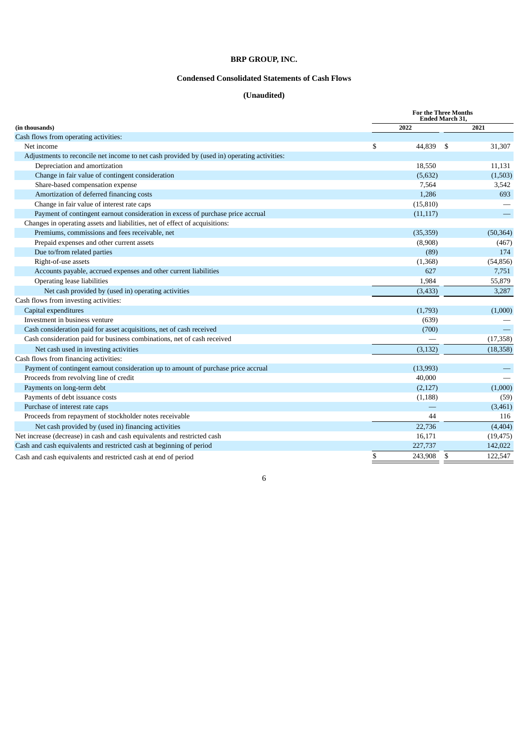### **BRP GROUP, INC.**

### **Condensed Consolidated Statements of Cash Flows**

### **(Unaudited)**

|                                                                                             | <b>For the Three Months</b><br><b>Ended March 31.</b> |           |    |           |
|---------------------------------------------------------------------------------------------|-------------------------------------------------------|-----------|----|-----------|
| (in thousands)                                                                              | 2022<br>2021                                          |           |    |           |
| Cash flows from operating activities:                                                       |                                                       |           |    |           |
| Net income                                                                                  | \$                                                    | 44,839    | \$ | 31,307    |
| Adjustments to reconcile net income to net cash provided by (used in) operating activities: |                                                       |           |    |           |
| Depreciation and amortization                                                               |                                                       | 18,550    |    | 11,131    |
| Change in fair value of contingent consideration                                            |                                                       | (5,632)   |    | (1,503)   |
| Share-based compensation expense                                                            |                                                       | 7,564     |    | 3,542     |
| Amortization of deferred financing costs                                                    |                                                       | 1,286     |    | 693       |
| Change in fair value of interest rate caps                                                  |                                                       | (15, 810) |    |           |
| Payment of contingent earnout consideration in excess of purchase price accrual             |                                                       | (11, 117) |    |           |
| Changes in operating assets and liabilities, net of effect of acquisitions:                 |                                                       |           |    |           |
| Premiums, commissions and fees receivable, net                                              |                                                       | (35,359)  |    | (50, 364) |
| Prepaid expenses and other current assets                                                   |                                                       | (8,908)   |    | (467)     |
| Due to/from related parties                                                                 |                                                       | (89)      |    | 174       |
| Right-of-use assets                                                                         |                                                       | (1,368)   |    | (54, 856) |
| Accounts payable, accrued expenses and other current liabilities                            |                                                       | 627       |    | 7,751     |
| Operating lease liabilities                                                                 |                                                       | 1,984     |    | 55,879    |
| Net cash provided by (used in) operating activities                                         |                                                       | (3, 433)  |    | 3,287     |
| Cash flows from investing activities:                                                       |                                                       |           |    |           |
| Capital expenditures                                                                        |                                                       | (1,793)   |    | (1,000)   |
| Investment in business venture                                                              |                                                       | (639)     |    |           |
| Cash consideration paid for asset acquisitions, net of cash received                        |                                                       | (700)     |    |           |
| Cash consideration paid for business combinations, net of cash received                     |                                                       |           |    | (17, 358) |
| Net cash used in investing activities                                                       |                                                       | (3, 132)  |    | (18, 358) |
| Cash flows from financing activities:                                                       |                                                       |           |    |           |
| Payment of contingent earnout consideration up to amount of purchase price accrual          |                                                       | (13,993)  |    |           |
| Proceeds from revolving line of credit                                                      |                                                       | 40,000    |    |           |
| Payments on long-term debt                                                                  |                                                       | (2,127)   |    | (1,000)   |
| Payments of debt issuance costs                                                             |                                                       | (1, 188)  |    | (59)      |
| Purchase of interest rate caps                                                              |                                                       |           |    | (3,461)   |
| Proceeds from repayment of stockholder notes receivable                                     |                                                       | 44        |    | 116       |
| Net cash provided by (used in) financing activities                                         |                                                       | 22,736    |    | (4, 404)  |
| Net increase (decrease) in cash and cash equivalents and restricted cash                    |                                                       | 16,171    |    | (19, 475) |
| Cash and cash equivalents and restricted cash at beginning of period                        |                                                       | 227,737   |    | 142,022   |
| Cash and cash equivalents and restricted cash at end of period                              | \$                                                    | 243,908   | \$ | 122,547   |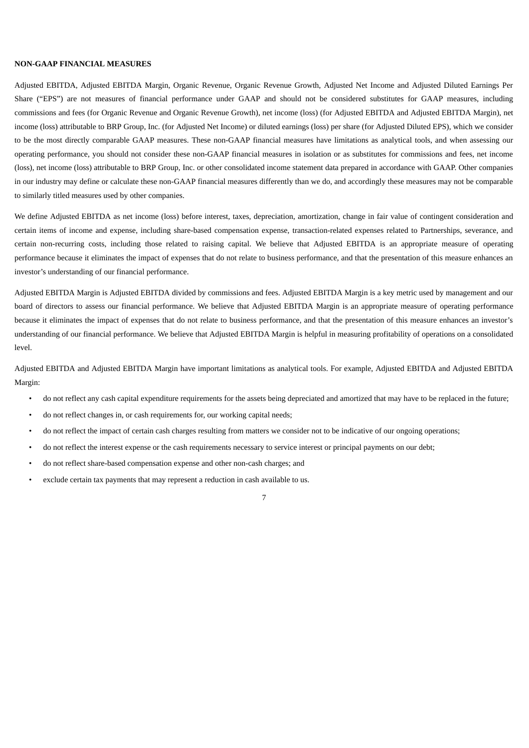#### **NON-GAAP FINANCIAL MEASURES**

Adjusted EBITDA, Adjusted EBITDA Margin, Organic Revenue, Organic Revenue Growth, Adjusted Net Income and Adjusted Diluted Earnings Per Share ("EPS") are not measures of financial performance under GAAP and should not be considered substitutes for GAAP measures, including commissions and fees (for Organic Revenue and Organic Revenue Growth), net income (loss) (for Adjusted EBITDA and Adjusted EBITDA Margin), net income (loss) attributable to BRP Group, Inc. (for Adjusted Net Income) or diluted earnings (loss) per share (for Adjusted Diluted EPS), which we consider to be the most directly comparable GAAP measures. These non-GAAP financial measures have limitations as analytical tools, and when assessing our operating performance, you should not consider these non-GAAP financial measures in isolation or as substitutes for commissions and fees, net income (loss), net income (loss) attributable to BRP Group, Inc. or other consolidated income statement data prepared in accordance with GAAP. Other companies in our industry may define or calculate these non-GAAP financial measures differently than we do, and accordingly these measures may not be comparable to similarly titled measures used by other companies.

We define Adjusted EBITDA as net income (loss) before interest, taxes, depreciation, amortization, change in fair value of contingent consideration and certain items of income and expense, including share-based compensation expense, transaction-related expenses related to Partnerships, severance, and certain non-recurring costs, including those related to raising capital. We believe that Adjusted EBITDA is an appropriate measure of operating performance because it eliminates the impact of expenses that do not relate to business performance, and that the presentation of this measure enhances an investor's understanding of our financial performance.

Adjusted EBITDA Margin is Adjusted EBITDA divided by commissions and fees. Adjusted EBITDA Margin is a key metric used by management and our board of directors to assess our financial performance. We believe that Adjusted EBITDA Margin is an appropriate measure of operating performance because it eliminates the impact of expenses that do not relate to business performance, and that the presentation of this measure enhances an investor's understanding of our financial performance. We believe that Adjusted EBITDA Margin is helpful in measuring profitability of operations on a consolidated level.

Adjusted EBITDA and Adjusted EBITDA Margin have important limitations as analytical tools. For example, Adjusted EBITDA and Adjusted EBITDA Margin:

- do not reflect any cash capital expenditure requirements for the assets being depreciated and amortized that may have to be replaced in the future;
- do not reflect changes in, or cash requirements for, our working capital needs;
- do not reflect the impact of certain cash charges resulting from matters we consider not to be indicative of our ongoing operations;
- do not reflect the interest expense or the cash requirements necessary to service interest or principal payments on our debt;
- do not reflect share-based compensation expense and other non-cash charges; and
- exclude certain tax payments that may represent a reduction in cash available to us.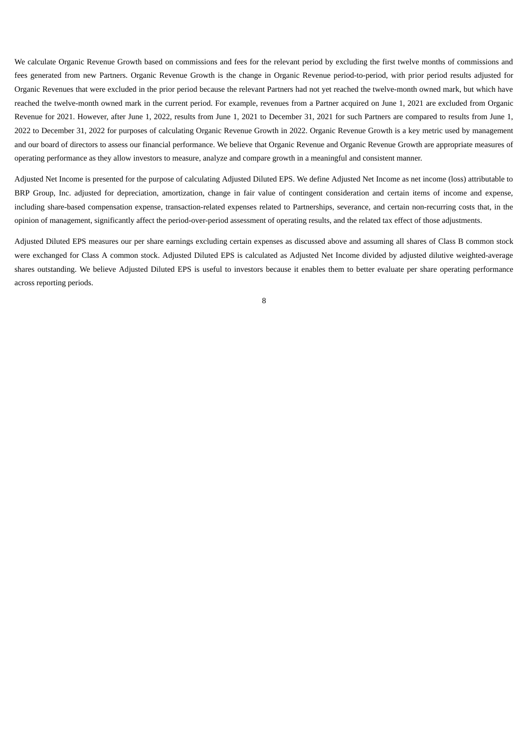We calculate Organic Revenue Growth based on commissions and fees for the relevant period by excluding the first twelve months of commissions and fees generated from new Partners. Organic Revenue Growth is the change in Organic Revenue period-to-period, with prior period results adjusted for Organic Revenues that were excluded in the prior period because the relevant Partners had not yet reached the twelve-month owned mark, but which have reached the twelve-month owned mark in the current period. For example, revenues from a Partner acquired on June 1, 2021 are excluded from Organic Revenue for 2021. However, after June 1, 2022, results from June 1, 2021 to December 31, 2021 for such Partners are compared to results from June 1, 2022 to December 31, 2022 for purposes of calculating Organic Revenue Growth in 2022. Organic Revenue Growth is a key metric used by management and our board of directors to assess our financial performance. We believe that Organic Revenue and Organic Revenue Growth are appropriate measures of operating performance as they allow investors to measure, analyze and compare growth in a meaningful and consistent manner.

Adjusted Net Income is presented for the purpose of calculating Adjusted Diluted EPS. We define Adjusted Net Income as net income (loss) attributable to BRP Group, Inc. adjusted for depreciation, amortization, change in fair value of contingent consideration and certain items of income and expense, including share-based compensation expense, transaction-related expenses related to Partnerships, severance, and certain non-recurring costs that, in the opinion of management, significantly affect the period-over-period assessment of operating results, and the related tax effect of those adjustments.

Adjusted Diluted EPS measures our per share earnings excluding certain expenses as discussed above and assuming all shares of Class B common stock were exchanged for Class A common stock. Adjusted Diluted EPS is calculated as Adjusted Net Income divided by adjusted dilutive weighted-average shares outstanding. We believe Adjusted Diluted EPS is useful to investors because it enables them to better evaluate per share operating performance across reporting periods.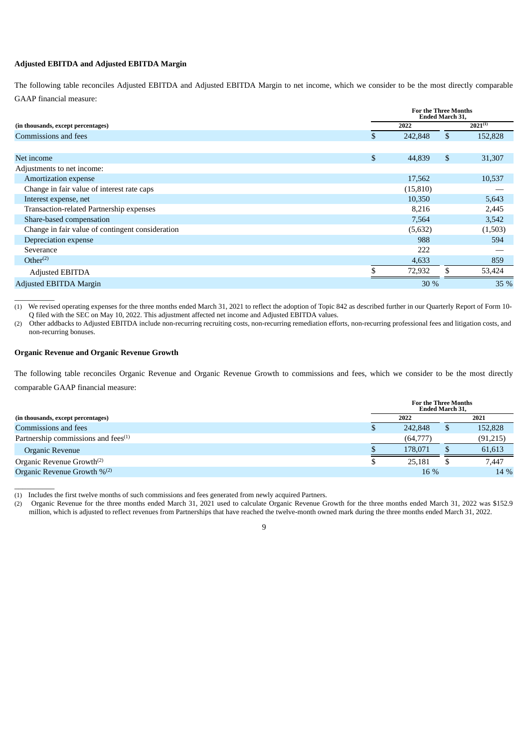#### **Adjusted EBITDA and Adjusted EBITDA Margin**

The following table reconciles Adjusted EBITDA and Adjusted EBITDA Margin to net income, which we consider to be the most directly comparable GAAP financial measure:

| (in thousands, except percentages)               |    | <b>For the Three Months</b><br>Ended March 31, |    |              |  |  |
|--------------------------------------------------|----|------------------------------------------------|----|--------------|--|--|
|                                                  |    | 2022                                           |    | $2021^{(1)}$ |  |  |
| Commissions and fees                             | \$ | 242,848                                        | \$ | 152,828      |  |  |
|                                                  |    |                                                |    |              |  |  |
| Net income                                       | \$ | 44,839                                         | \$ | 31,307       |  |  |
| Adjustments to net income:                       |    |                                                |    |              |  |  |
| <b>Amortization expense</b>                      |    | 17,562                                         |    | 10,537       |  |  |
| Change in fair value of interest rate caps       |    | (15, 810)                                      |    |              |  |  |
| Interest expense, net                            |    | 10,350                                         |    | 5,643        |  |  |
| Transaction-related Partnership expenses         |    | 8,216                                          |    | 2,445        |  |  |
| Share-based compensation                         |    | 7,564                                          |    | 3,542        |  |  |
| Change in fair value of contingent consideration |    | (5,632)                                        |    | (1,503)      |  |  |
| Depreciation expense                             |    | 988                                            |    | 594          |  |  |
| Severance                                        |    | 222                                            |    |              |  |  |
| Other <sup>(2)</sup>                             |    | 4,633                                          |    | 859          |  |  |
| Adjusted EBITDA                                  |    | 72,932                                         |    | 53,424       |  |  |
| <b>Adjusted EBITDA Margin</b>                    |    | 30 %                                           |    | 35 %         |  |  |

(1) We revised operating expenses for the three months ended March 31, 2021 to reflect the adoption of Topic 842 as described further in our Quarterly Report of Form 10- Q filed with the SEC on May 10, 2022. This adjustment affected net income and Adjusted EBITDA values.

(2) Other addbacks to Adjusted EBITDA include non-recurring recruiting costs, non-recurring remediation efforts, non-recurring professional fees and litigation costs, and non-recurring bonuses.

#### **Organic Revenue and Organic Revenue Growth**

 $\overline{\phantom{a}}$   $\overline{\phantom{a}}$ 

\_\_\_\_\_\_\_\_\_\_

The following table reconciles Organic Revenue and Organic Revenue Growth to commissions and fees, which we consider to be the most directly comparable GAAP financial measure:

|                                                 |    | <b>For the Three Months</b><br><b>Ended March 31.</b> |  |          |  |  |
|-------------------------------------------------|----|-------------------------------------------------------|--|----------|--|--|
| (in thousands, except percentages)              |    | 2022                                                  |  | 2021     |  |  |
| Commissions and fees                            | πU | 242,848                                               |  | 152,828  |  |  |
| Partnership commissions and fees <sup>(1)</sup> |    | (64,777)                                              |  | (91,215) |  |  |
| Organic Revenue                                 |    | 178,071                                               |  | 61,613   |  |  |
| Organic Revenue Growth <sup>(2)</sup>           |    | 25,181                                                |  | 7,447    |  |  |
| Organic Revenue Growth $\frac{9}{2}$            |    | $16\%$                                                |  | 14 %     |  |  |

(1) Includes the first twelve months of such commissions and fees generated from newly acquired Partners.

(2) Organic Revenue for the three months ended March 31, 2021 used to calculate Organic Revenue Growth for the three months ended March 31, 2022 was \$152.9 million, which is adjusted to reflect revenues from Partnerships that have reached the twelve-month owned mark during the three months ended March 31, 2022.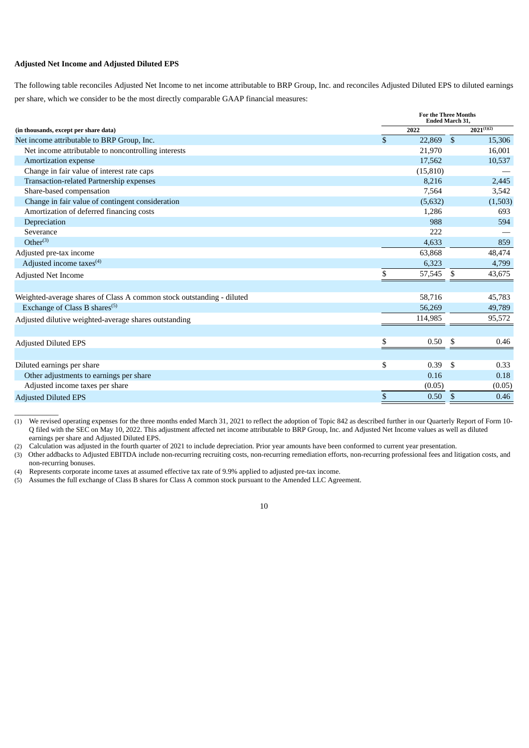#### **Adjusted Net Income and Adjusted Diluted EPS**

 $\overline{\phantom{a}}$  , where  $\overline{\phantom{a}}$ 

The following table reconciles Adjusted Net Income to net income attributable to BRP Group, Inc. and reconciles Adjusted Diluted EPS to diluted earnings per share, which we consider to be the most directly comparable GAAP financial measures:

|                                                                       |    | <b>For the Three Months</b><br>Ended March 31, |     |                 |
|-----------------------------------------------------------------------|----|------------------------------------------------|-----|-----------------|
| (in thousands, except per share data)                                 |    | 2022                                           |     | $2021^{(1)(2)}$ |
| Net income attributable to BRP Group, Inc.                            | \$ | 22,869                                         | -\$ | 15,306          |
| Net income attributable to noncontrolling interests                   |    | 21,970                                         |     | 16,001          |
| Amortization expense                                                  |    | 17,562                                         |     | 10,537          |
| Change in fair value of interest rate caps                            |    | (15, 810)                                      |     |                 |
| Transaction-related Partnership expenses                              |    | 8,216                                          |     | 2,445           |
| Share-based compensation                                              |    | 7,564                                          |     | 3,542           |
| Change in fair value of contingent consideration                      |    | (5,632)                                        |     | (1,503)         |
| Amortization of deferred financing costs                              |    | 1,286                                          |     | 693             |
| Depreciation                                                          |    | 988                                            |     | 594             |
| Severance                                                             |    | 222                                            |     |                 |
| $Other^{(3)}$                                                         |    | 4,633                                          |     | 859             |
| Adjusted pre-tax income                                               |    | 63,868                                         |     | 48,474          |
| Adjusted income taxes <sup>(4)</sup>                                  |    | 6,323                                          |     | 4,799           |
| Adjusted Net Income                                                   | \$ | 57,545                                         | \$  | 43,675          |
|                                                                       |    |                                                |     |                 |
| Weighted-average shares of Class A common stock outstanding - diluted |    | 58,716                                         |     | 45,783          |
| Exchange of Class B shares <sup>(5)</sup>                             |    | 56,269                                         |     | 49,789          |
| Adjusted dilutive weighted-average shares outstanding                 |    | 114,985                                        |     | 95,572          |
|                                                                       |    |                                                |     |                 |
| <b>Adjusted Diluted EPS</b>                                           | \$ | 0.50                                           | \$  | 0.46            |
|                                                                       |    |                                                |     |                 |
| Diluted earnings per share                                            | \$ | 0.39                                           | \$  | 0.33            |
| Other adjustments to earnings per share                               |    | 0.16                                           |     | 0.18            |
| Adjusted income taxes per share                                       |    | (0.05)                                         |     | (0.05)          |
| <b>Adjusted Diluted EPS</b>                                           | \$ | 0.50                                           | \$  | 0.46            |

(1) We revised operating expenses for the three months ended March 31, 2021 to reflect the adoption of Topic 842 as described further in our Quarterly Report of Form 10- Q filed with the SEC on May 10, 2022. This adjustment affected net income attributable to BRP Group, Inc. and Adjusted Net Income values as well as diluted earnings per share and Adjusted Diluted EPS.

(2) Calculation was adjusted in the fourth quarter of 2021 to include depreciation. Prior year amounts have been conformed to current year presentation.

(3) Other addbacks to Adjusted EBITDA include non-recurring recruiting costs, non-recurring remediation efforts, non-recurring professional fees and litigation costs, and non-recurring bonuses.

(4) Represents corporate income taxes at assumed effective tax rate of 9.9% applied to adjusted pre-tax income.

(5) Assumes the full exchange of Class B shares for Class A common stock pursuant to the Amended LLC Agreement.